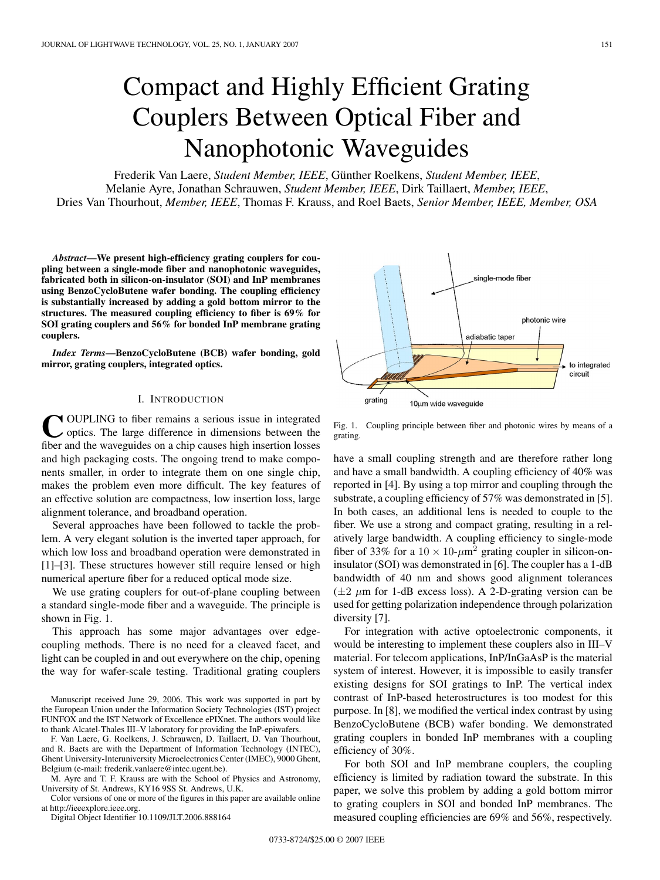# Compact and Highly Efficient Grating Couplers Between Optical Fiber and Nanophotonic Waveguides

Frederik Van Laere, *Student Member, IEEE*, Günther Roelkens, *Student Member, IEEE*, Melanie Ayre, Jonathan Schrauwen, *Student Member, IEEE*, Dirk Taillaert, *Member, IEEE*, Dries Van Thourhout, *Member, IEEE*, Thomas F. Krauss, and Roel Baets, *Senior Member, IEEE, Member, OSA*

*Abstract***—We present high-efficiency grating couplers for coupling between a single-mode fiber and nanophotonic waveguides, fabricated both in silicon-on-insulator (SOI) and InP membranes using BenzoCycloButene wafer bonding. The coupling efficiency is substantially increased by adding a gold bottom mirror to the structures. The measured coupling efficiency to fiber is 69% for SOI grating couplers and 56% for bonded InP membrane grating couplers.**

*Index Terms***—BenzoCycloButene (BCB) wafer bonding, gold mirror, grating couplers, integrated optics.**

# I. INTRODUCTION

COUPLING to fiber remains a serious issue in integrated optics. The large difference in dimensions between the fiber and the waveguides on a chip causes high insertion losses and high packaging costs. The ongoing trend to make components smaller, in order to integrate them on one single chip, makes the problem even more difficult. The key features of an effective solution are compactness, low insertion loss, large alignment tolerance, and broadband operation.

Several approaches have been followed to tackle the problem. A very elegant solution is the inverted taper approach, for which low loss and broadband operation were demonstrated in [1]–[3]. These structures however still require lensed or high numerical aperture fiber for a reduced optical mode size.

We use grating couplers for out-of-plane coupling between a standard single-mode fiber and a waveguide. The principle is shown in Fig. 1.

This approach has some major advantages over edgecoupling methods. There is no need for a cleaved facet, and light can be coupled in and out everywhere on the chip, opening the way for wafer-scale testing. Traditional grating couplers

Manuscript received June 29, 2006. This work was supported in part by the European Union under the Information Society Technologies (IST) project FUNFOX and the IST Network of Excellence ePIXnet. The authors would like to thank Alcatel-Thales III–V laboratory for providing the InP-epiwafers.

F. Van Laere, G. Roelkens, J. Schrauwen, D. Taillaert, D. Van Thourhout, and R. Baets are with the Department of Information Technology (INTEC), Ghent University-Interuniversity Microelectronics Center (IMEC), 9000 Ghent, Belgium (e-mail: frederik.vanlaere@intec.ugent.be).

M. Ayre and T. F. Krauss are with the School of Physics and Astronomy, University of St. Andrews, KY16 9SS St. Andrews, U.K.

Color versions of one or more of the figures in this paper are available online at http://ieeexplore.ieee.org.

Digital Object Identifier 10.1109/JLT.2006.888164



Fig. 1. Coupling principle between fiber and photonic wires by means of a grating.

have a small coupling strength and are therefore rather long and have a small bandwidth. A coupling efficiency of 40% was reported in [4]. By using a top mirror and coupling through the substrate, a coupling efficiency of 57% was demonstrated in [5]. In both cases, an additional lens is needed to couple to the fiber. We use a strong and compact grating, resulting in a relatively large bandwidth. A coupling efficiency to single-mode fiber of 33% for a  $10 \times 10$ - $\mu$ m<sup>2</sup> grating coupler in silicon-oninsulator (SOI) was demonstrated in [6]. The coupler has a 1-dB bandwidth of 40 nm and shows good alignment tolerances  $(\pm 2 \mu m)$  for 1-dB excess loss). A 2-D-grating version can be used for getting polarization independence through polarization diversity [7].

For integration with active optoelectronic components, it would be interesting to implement these couplers also in III–V material. For telecom applications, InP/InGaAsP is the material system of interest. However, it is impossible to easily transfer existing designs for SOI gratings to InP. The vertical index contrast of InP-based heterostructures is too modest for this purpose. In [8], we modified the vertical index contrast by using BenzoCycloButene (BCB) wafer bonding. We demonstrated grating couplers in bonded InP membranes with a coupling efficiency of 30%.

For both SOI and InP membrane couplers, the coupling efficiency is limited by radiation toward the substrate. In this paper, we solve this problem by adding a gold bottom mirror to grating couplers in SOI and bonded InP membranes. The measured coupling efficiencies are 69% and 56%, respectively.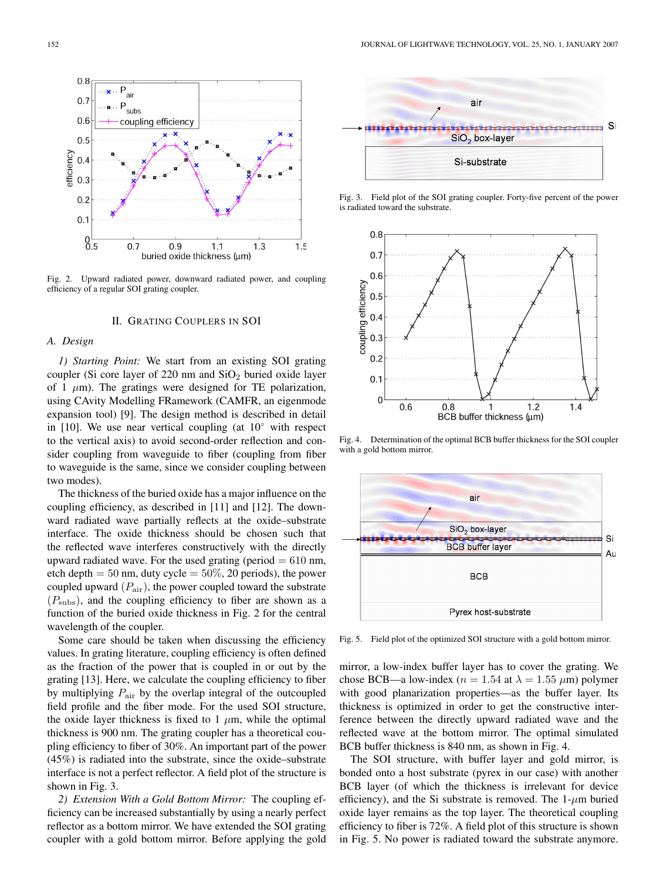

Fig. 2. Upward radiated power, downward radiated power, and coupling efficiency of a regular SOI grating coupler.

## II. GRATING COUPLERS IN SOI

## *A. Design*

*1) Starting Point:* We start from an existing SOI grating coupler (Si core layer of 220 nm and  $SiO<sub>2</sub>$  buried oxide layer of 1  $\mu$ m). The gratings were designed for TE polarization, using CAvity Modelling FRamework (CAMFR, an eigenmode expansion tool) [9]. The design method is described in detail in [10]. We use near vertical coupling (at  $10°$  with respect to the vertical axis) to avoid second-order reflection and consider coupling from waveguide to fiber (coupling from fiber to waveguide is the same, since we consider coupling between two modes).

The thickness of the buried oxide has a major influence on the coupling efficiency, as described in [11] and [12]. The downward radiated wave partially reflects at the oxide–substrate interface. The oxide thickness should be chosen such that the reflected wave interferes constructively with the directly upward radiated wave. For the used grating (period  $= 610$  nm, etch depth  $= 50$  nm, duty cycle  $= 50\%$ , 20 periods), the power coupled upward  $(P_{\text{air}})$ , the power coupled toward the substrate  $(P_{\text{subs}})$ , and the coupling efficiency to fiber are shown as a function of the buried oxide thickness in Fig. 2 for the central wavelength of the coupler.

Some care should be taken when discussing the efficiency values. In grating literature, coupling efficiency is often defined as the fraction of the power that is coupled in or out by the grating [13]. Here, we calculate the coupling efficiency to fiber by multiplying  $P_{\text{air}}$  by the overlap integral of the outcoupled field profile and the fiber mode. For the used SOI structure, the oxide layer thickness is fixed to 1  $\mu$ m, while the optimal thickness is 900 nm. The grating coupler has a theoretical coupling efficiency to fiber of 30%. An important part of the power (45%) is radiated into the substrate, since the oxide–substrate interface is not a perfect reflector. A field plot of the structure is shown in Fig. 3.

*2) Extension With a Gold Bottom Mirror:* The coupling efficiency can be increased substantially by using a nearly perfect reflector as a bottom mirror. We have extended the SOI grating coupler with a gold bottom mirror. Before applying the gold



Fig. 3. Field plot of the SOI grating coupler. Forty-five percent of the power is radiated toward the substrate.



Fig. 4. Determination of the optimal BCB buffer thickness for the SOI coupler with a gold bottom mirror.



Fig. 5. Field plot of the optimized SOI structure with a gold bottom mirror.

mirror, a low-index buffer layer has to cover the grating. We chose BCB—a low-index ( $n = 1.54$  at  $\lambda = 1.55 \ \mu m$ ) polymer with good planarization properties—as the buffer layer. Its thickness is optimized in order to get the constructive interference between the directly upward radiated wave and the reflected wave at the bottom mirror. The optimal simulated BCB buffer thickness is 840 nm, as shown in Fig. 4.

The SOI structure, with buffer layer and gold mirror, is bonded onto a host substrate (pyrex in our case) with another BCB layer (of which the thickness is irrelevant for device efficiency), and the Si substrate is removed. The  $1-\mu m$  buried oxide layer remains as the top layer. The theoretical coupling efficiency to fiber is 72%. A field plot of this structure is shown in Fig. 5. No power is radiated toward the substrate anymore.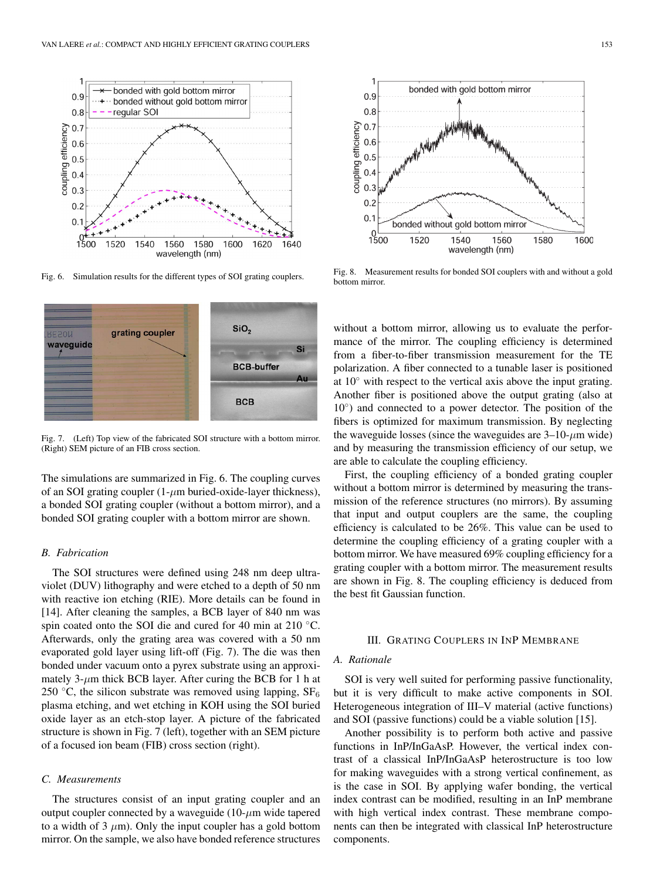

Fig. 6. Simulation results for the different types of SOI grating couplers.



Fig. 7. (Left) Top view of the fabricated SOI structure with a bottom mirror. (Right) SEM picture of an FIB cross section.

The simulations are summarized in Fig. 6. The coupling curves of an SOI grating coupler  $(1-\mu m)$  buried-oxide-layer thickness), a bonded SOI grating coupler (without a bottom mirror), and a bonded SOI grating coupler with a bottom mirror are shown.

## *B. Fabrication*

The SOI structures were defined using 248 nm deep ultraviolet (DUV) lithography and were etched to a depth of 50 nm with reactive ion etching (RIE). More details can be found in [14]. After cleaning the samples, a BCB layer of 840 nm was spin coated onto the SOI die and cured for 40 min at 210 ◦C. Afterwards, only the grating area was covered with a 50 nm evaporated gold layer using lift-off (Fig. 7). The die was then bonded under vacuum onto a pyrex substrate using an approximately  $3-\mu m$  thick BCB layer. After curing the BCB for 1 h at 250 °C, the silicon substrate was removed using lapping,  $SF_6$ plasma etching, and wet etching in KOH using the SOI buried oxide layer as an etch-stop layer. A picture of the fabricated structure is shown in Fig. 7 (left), together with an SEM picture of a focused ion beam (FIB) cross section (right).

### *C. Measurements*

The structures consist of an input grating coupler and an output coupler connected by a waveguide  $(10-\mu m)$  wide tapered to a width of 3  $\mu$ m). Only the input coupler has a gold bottom mirror. On the sample, we also have bonded reference structures



Fig. 8. Measurement results for bonded SOI couplers with and without a gold bottom mirror.

without a bottom mirror, allowing us to evaluate the performance of the mirror. The coupling efficiency is determined from a fiber-to-fiber transmission measurement for the TE polarization. A fiber connected to a tunable laser is positioned at  $10<sup>°</sup>$  with respect to the vertical axis above the input grating. Another fiber is positioned above the output grating (also at 10◦) and connected to a power detector. The position of the fibers is optimized for maximum transmission. By neglecting the waveguide losses (since the waveguides are  $3-10$ - $\mu$ m wide) and by measuring the transmission efficiency of our setup, we are able to calculate the coupling efficiency.

First, the coupling efficiency of a bonded grating coupler without a bottom mirror is determined by measuring the transmission of the reference structures (no mirrors). By assuming that input and output couplers are the same, the coupling efficiency is calculated to be 26%. This value can be used to determine the coupling efficiency of a grating coupler with a bottom mirror. We have measured 69% coupling efficiency for a grating coupler with a bottom mirror. The measurement results are shown in Fig. 8. The coupling efficiency is deduced from the best fit Gaussian function.

# III. GRATING COUPLERS IN INP MEMBRANE

# *A. Rationale*

SOI is very well suited for performing passive functionality, but it is very difficult to make active components in SOI. Heterogeneous integration of III–V material (active functions) and SOI (passive functions) could be a viable solution [15].

Another possibility is to perform both active and passive functions in InP/InGaAsP. However, the vertical index contrast of a classical InP/InGaAsP heterostructure is too low for making waveguides with a strong vertical confinement, as is the case in SOI. By applying wafer bonding, the vertical index contrast can be modified, resulting in an InP membrane with high vertical index contrast. These membrane components can then be integrated with classical InP heterostructure components.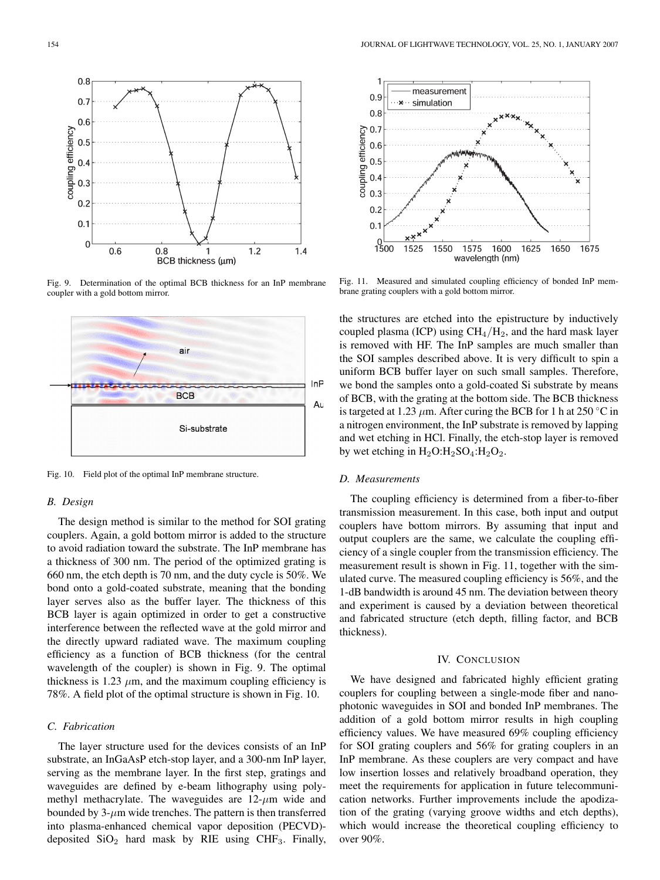

Fig. 9. Determination of the optimal BCB thickness for an InP membrane coupler with a gold bottom mirror.



Fig. 10. Field plot of the optimal InP membrane structure.

# *B. Design*

The design method is similar to the method for SOI grating couplers. Again, a gold bottom mirror is added to the structure to avoid radiation toward the substrate. The InP membrane has a thickness of 300 nm. The period of the optimized grating is 660 nm, the etch depth is 70 nm, and the duty cycle is 50%. We bond onto a gold-coated substrate, meaning that the bonding layer serves also as the buffer layer. The thickness of this BCB layer is again optimized in order to get a constructive interference between the reflected wave at the gold mirror and the directly upward radiated wave. The maximum coupling efficiency as a function of BCB thickness (for the central wavelength of the coupler) is shown in Fig. 9. The optimal thickness is 1.23  $\mu$ m, and the maximum coupling efficiency is 78%. A field plot of the optimal structure is shown in Fig. 10.

# *C. Fabrication*

The layer structure used for the devices consists of an InP substrate, an InGaAsP etch-stop layer, and a 300-nm InP layer, serving as the membrane layer. In the first step, gratings and waveguides are defined by e-beam lithography using polymethyl methacrylate. The waveguides are  $12-\mu m$  wide and bounded by  $3-\mu m$  wide trenches. The pattern is then transferred into plasma-enhanced chemical vapor deposition (PECVD) deposited  $SiO<sub>2</sub>$  hard mask by RIE using CHF<sub>3</sub>. Finally,



Fig. 11. Measured and simulated coupling efficiency of bonded InP membrane grating couplers with a gold bottom mirror.

the structures are etched into the epistructure by inductively coupled plasma (ICP) using  $CH_4/H_2$ , and the hard mask layer is removed with HF. The InP samples are much smaller than the SOI samples described above. It is very difficult to spin a uniform BCB buffer layer on such small samples. Therefore, we bond the samples onto a gold-coated Si substrate by means of BCB, with the grating at the bottom side. The BCB thickness is targeted at 1.23  $\mu$ m. After curing the BCB for 1 h at 250 °C in a nitrogen environment, the InP substrate is removed by lapping and wet etching in HCl. Finally, the etch-stop layer is removed by wet etching in  $H_2O:H_2SO_4:H_2O_2$ .

# *D. Measurements*

The coupling efficiency is determined from a fiber-to-fiber transmission measurement. In this case, both input and output couplers have bottom mirrors. By assuming that input and output couplers are the same, we calculate the coupling efficiency of a single coupler from the transmission efficiency. The measurement result is shown in Fig. 11, together with the simulated curve. The measured coupling efficiency is 56%, and the 1-dB bandwidth is around 45 nm. The deviation between theory and experiment is caused by a deviation between theoretical and fabricated structure (etch depth, filling factor, and BCB thickness).

## IV. CONCLUSION

We have designed and fabricated highly efficient grating couplers for coupling between a single-mode fiber and nanophotonic waveguides in SOI and bonded InP membranes. The addition of a gold bottom mirror results in high coupling efficiency values. We have measured 69% coupling efficiency for SOI grating couplers and 56% for grating couplers in an InP membrane. As these couplers are very compact and have low insertion losses and relatively broadband operation, they meet the requirements for application in future telecommunication networks. Further improvements include the apodization of the grating (varying groove widths and etch depths), which would increase the theoretical coupling efficiency to over 90%.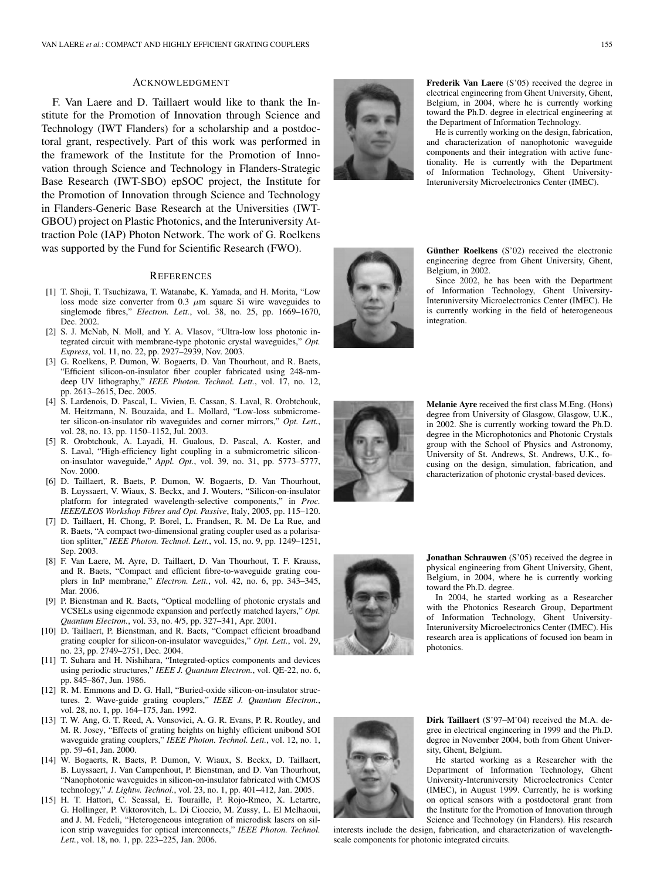#### ACKNOWLEDGMENT

F. Van Laere and D. Taillaert would like to thank the Institute for the Promotion of Innovation through Science and Technology (IWT Flanders) for a scholarship and a postdoctoral grant, respectively. Part of this work was performed in the framework of the Institute for the Promotion of Innovation through Science and Technology in Flanders-Strategic Base Research (IWT-SBO) epSOC project, the Institute for the Promotion of Innovation through Science and Technology in Flanders-Generic Base Research at the Universities (IWT-GBOU) project on Plastic Photonics, and the Interuniversity Attraction Pole (IAP) Photon Network. The work of G. Roelkens was supported by the Fund for Scientific Research (FWO).

## **REFERENCES**

- [1] T. Shoji, T. Tsuchizawa, T. Watanabe, K. Yamada, and H. Morita, "Low loss mode size converter from 0.3 *µ*m square Si wire waveguides to singlemode fibres," *Electron. Lett.*, vol. 38, no. 25, pp. 1669–1670, Dec. 2002.
- [2] S. J. McNab, N. Moll, and Y. A. Vlasov, "Ultra-low loss photonic integrated circuit with membrane-type photonic crystal waveguides," *Opt. Express*, vol. 11, no. 22, pp. 2927–2939, Nov. 2003.
- [3] G. Roelkens, P. Dumon, W. Bogaerts, D. Van Thourhout, and R. Baets, "Efficient silicon-on-insulator fiber coupler fabricated using 248-nmdeep UV lithography," *IEEE Photon. Technol. Lett.*, vol. 17, no. 12, pp. 2613–2615, Dec. 2005.
- [4] S. Lardenois, D. Pascal, L. Vivien, E. Cassan, S. Laval, R. Orobtchouk, M. Heitzmann, N. Bouzaida, and L. Mollard, "Low-loss submicrometer silicon-on-insulator rib waveguides and corner mirrors," *Opt. Lett.*, vol. 28, no. 13, pp. 1150–1152, Jul. 2003.
- [5] R. Orobtchouk, A. Layadi, H. Gualous, D. Pascal, A. Koster, and S. Laval, "High-efficiency light coupling in a submicrometric siliconon-insulator waveguide," *Appl. Opt.*, vol. 39, no. 31, pp. 5773–5777, Nov. 2000.
- [6] D. Taillaert, R. Baets, P. Dumon, W. Bogaerts, D. Van Thourhout, B. Luyssaert, V. Wiaux, S. Beckx, and J. Wouters, "Silicon-on-insulator platform for integrated wavelength-selective components," in *Proc. IEEE/LEOS Workshop Fibres and Opt. Passive*, Italy, 2005, pp. 115–120.
- [7] D. Taillaert, H. Chong, P. Borel, L. Frandsen, R. M. De La Rue, and R. Baets, "A compact two-dimensional grating coupler used as a polarisation splitter," *IEEE Photon. Technol. Lett.*, vol. 15, no. 9, pp. 1249–1251, Sep. 2003.
- [8] F. Van Laere, M. Ayre, D. Taillaert, D. Van Thourhout, T. F. Krauss, and R. Baets, "Compact and efficient fibre-to-waveguide grating couplers in InP membrane," *Electron. Lett.*, vol. 42, no. 6, pp. 343–345, Mar. 2006.
- [9] P. Bienstman and R. Baets, "Optical modelling of photonic crystals and VCSELs using eigenmode expansion and perfectly matched layers," *Opt. Quantum Electron.*, vol. 33, no. 4/5, pp. 327–341, Apr. 2001.
- [10] D. Taillaert, P. Bienstman, and R. Baets, "Compact efficient broadband grating coupler for silicon-on-insulator waveguides," *Opt. Lett.*, vol. 29, no. 23, pp. 2749–2751, Dec. 2004.
- [11] T. Suhara and H. Nishihara, "Integrated-optics components and devices using periodic structures," *IEEE J. Quantum Electron.*, vol. QE-22, no. 6, pp. 845–867, Jun. 1986.
- [12] R. M. Emmons and D. G. Hall, "Buried-oxide silicon-on-insulator structures. 2. Wave-guide grating couplers," *IEEE J. Quantum Electron.*, vol. 28, no. 1, pp. 164–175, Jan. 1992.
- [13] T. W. Ang, G. T. Reed, A. Vonsovici, A. G. R. Evans, P. R. Routley, and M. R. Josey, "Effects of grating heights on highly efficient unibond SOI waveguide grating couplers," *IEEE Photon. Technol. Lett.*, vol. 12, no. 1, pp. 59–61, Jan. 2000.
- [14] W. Bogaerts, R. Baets, P. Dumon, V. Wiaux, S. Beckx, D. Taillaert, B. Luyssaert, J. Van Campenhout, P. Bienstman, and D. Van Thourhout, "Nanophotonic waveguides in silicon-on-insulator fabricated with CMOS technology," *J. Lightw. Technol.*, vol. 23, no. 1, pp. 401–412, Jan. 2005.
- [15] H. T. Hattori, C. Seassal, E. Touraille, P. Rojo-Rmeo, X. Letartre, G. Hollinger, P. Viktorovitch, L. Di Cioccio, M. Zussy, L. El Melhaoui, and J. M. Fedeli, "Heterogeneous integration of microdisk lasers on silicon strip waveguides for optical interconnects," *IEEE Photon. Technol. Lett.*, vol. 18, no. 1, pp. 223–225, Jan. 2006.



**Frederik Van Laere** (S'05) received the degree in electrical engineering from Ghent University, Ghent, Belgium, in 2004, where he is currently working toward the Ph.D. degree in electrical engineering at the Department of Information Technology.

He is currently working on the design, fabrication, and characterization of nanophotonic waveguide components and their integration with active functionality. He is currently with the Department of Information Technology, Ghent University-Interuniversity Microelectronics Center (IMEC).



**Günther Roelkens** (S'02) received the electronic engineering degree from Ghent University, Ghent, Belgium, in 2002.

Since 2002, he has been with the Department of Information Technology, Ghent University-Interuniversity Microelectronics Center (IMEC). He is currently working in the field of heterogeneous integration.



**Melanie Ayre** received the first class M.Eng. (Hons) degree from University of Glasgow, Glasgow, U.K., in 2002. She is currently working toward the Ph.D. degree in the Microphotonics and Photonic Crystals group with the School of Physics and Astronomy, University of St. Andrews, St. Andrews, U.K., focusing on the design, simulation, fabrication, and characterization of photonic crystal-based devices.



**Jonathan Schrauwen** (S'05) received the degree in physical engineering from Ghent University, Ghent, Belgium, in 2004, where he is currently working toward the Ph.D. degree.

In 2004, he started working as a Researcher with the Photonics Research Group, Department of Information Technology, Ghent University-Interuniversity Microelectronics Center (IMEC). His research area is applications of focused ion beam in photonics.



**Dirk Taillaert** (S'97–M'04) received the M.A. degree in electrical engineering in 1999 and the Ph.D. degree in November 2004, both from Ghent University, Ghent, Belgium.

He started working as a Researcher with the Department of Information Technology, Ghent University-Interuniversity Microelectronics Center (IMEC), in August 1999. Currently, he is working on optical sensors with a postdoctoral grant from the Institute for the Promotion of Innovation through Science and Technology (in Flanders). His research

interests include the design, fabrication, and characterization of wavelengthscale components for photonic integrated circuits.